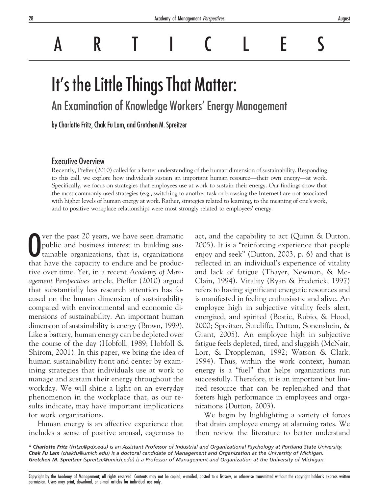ARTICLES

# It's the Little Things That Matter:

An Examination of Knowledge Workers' Energy Management

by Charlotte Fritz, Chak Fu Lam, and Gretchen M. Spreitzer

# Executive Overview

Recently, Pfeffer (2010) called for a better understanding of the human dimension of sustainability. Responding to this call, we explore how individuals sustain an important human resource—their own energy—at work. Specifically, we focus on strategies that employees use at work to sustain their energy. Our findings show that the most commonly used strategies (e.g., switching to another task or browsing the Internet) are not associated with higher levels of human energy at work. Rather, strategies related to learning, to the meaning of one's work, and to positive workplace relationships were most strongly related to employees' energy.

O ver the past 20 years, we have seen dramatic public and business interest in building sustainable organizations, that is, organizations that have the capacity to endure and be producver the past 20 years, we have seen dramatic public and business interest in building sustainable organizations, that is, organizations tive over time. Yet, in a recent *Academy of Management Perspectives* article, Pfeffer (2010) argued that substantially less research attention has focused on the human dimension of sustainability compared with environmental and economic dimensions of sustainability. An important human dimension of sustainability is energy (Brown, 1999). Like a battery, human energy can be depleted over the course of the day (Hobfoll, 1989; Hobfoll & Shirom, 2001). In this paper, we bring the idea of human sustainability front and center by examining strategies that individuals use at work to manage and sustain their energy throughout the workday. We will shine a light on an everyday phenomenon in the workplace that, as our results indicate, may have important implications for work organizations.

Human energy is an affective experience that includes a sense of positive arousal, eagerness to

act, and the capability to act (Quinn & Dutton, 2005). It is a "reinforcing experience that people enjoy and seek" (Dutton, 2003, p. 6) and that is reflected in an individual's experience of vitality and lack of fatigue (Thayer, Newman, & Mc-Clain, 1994). Vitality (Ryan & Frederick, 1997) refers to having significant energetic resources and is manifested in feeling enthusiastic and alive. An employee high in subjective vitality feels alert, energized, and spirited (Bostic, Rubio, & Hood, 2000; Spreitzer, Sutcliffe, Dutton, Sonenshein, & Grant, 2005). An employee high in subjective fatigue feels depleted, tired, and sluggish (McNair, Lorr, & Droppleman, 1992; Watson & Clark, 1994). Thus, within the work context, human energy is a "fuel" that helps organizations run successfully. Therefore, it is an important but limited resource that can be replenished and that fosters high performance in employees and organizations (Dutton, 2003).

We begin by highlighting a variety of forces that drain employee energy at alarming rates. We then review the literature to better understand

**\*** *Charlotte Fritz (fritzc@pdx.edu) is an Assistant Professor of Industrial and Organizational Psychology at Portland State University. Chak Fu Lam (chakfu@umich.edu) is a doctoral candidate of Management and Organization at the University of Michigan. Gretchen M. Spreitzer (spreitze@umich.edu) is a Professor of Management and Organization at the University of Michigan.*

Copyright by the Academy of Management; all rights reserved. Contents may not be copied, e-mailed, posted to a listserv, or otherwise transmitted without the copyright holder's express written permission. Users may print, download, or e-mail articles for individual use only.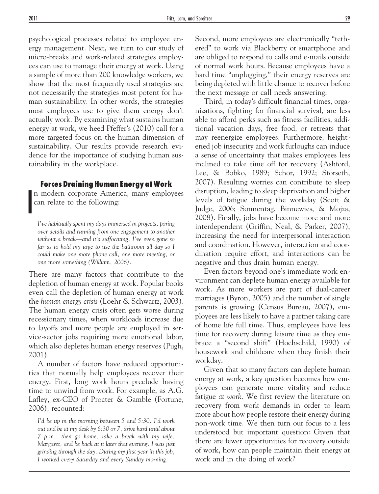psychological processes related to employee energy management. Next, we turn to our study of micro-breaks and work-related strategies employees can use to manage their energy at work. Using a sample of more than 200 knowledge workers, we show that the most frequently used strategies are not necessarily the strategies most potent for human sustainability. In other words, the strategies most employees use to give them energy don't actually work. By examining what sustains human energy at work, we heed Pfeffer's (2010) call for a more targeted focus on the human dimension of sustainability. Our results provide research evidence for the importance of studying human sustainability in the workplace.

## **Forces Draining Human Energy at Work**

I n modern corporate America, many employees can relate to the following:

*I've habitually spent my days immersed in projects, poring over details and running from one engagement to another without a break—and it's suffocating. I've even gone so far as to hold my urge to use the bathroom all day so I could make one more phone call, one more meeting, or one more something (William, 2006).*

There are many factors that contribute to the depletion of human energy at work. Popular books even call the depletion of human energy at work the *human energy crisis* (Loehr & Schwartz, 2003). The human energy crisis often gets worse during recessionary times, when workloads increase due to layoffs and more people are employed in service-sector jobs requiring more emotional labor, which also depletes human energy reserves (Pugh, 2001).

A number of factors have reduced opportunities that normally help employees recover their energy. First, long work hours preclude having time to unwind from work. For example, as A.G. Lafley, ex-CEO of Procter & Gamble (Fortune, 2006), recounted:

*I'd be up in the morning between 5 and 5:30. I'd work out and be at my desk by 6:30 or 7, drive hard until about 7 p.m., then go home, take a break with my wife, Margaret, and be back at it later that evening. I was just grinding through the day. During my first year in this job, I worked every Saturday and every Sunday morning.*

Second, more employees are electronically "tethered" to work via Blackberry or smartphone and are obliged to respond to calls and e-mails outside of normal work hours. Because employees have a hard time "unplugging," their energy reserves are being depleted with little chance to recover before the next message or call needs answering.

Third, in today's difficult financial times, organizations, fighting for financial survival, are less able to afford perks such as fitness facilities, additional vacation days, free food, or retreats that may reenergize employees. Furthermore, heightened job insecurity and work furloughs can induce a sense of uncertainty that makes employees less inclined to take time off for recovery (Ashford, Lee, & Bobko, 1989; Schor, 1992; Storseth, 2007). Resulting worries can contribute to sleep disruption, leading to sleep deprivation and higher levels of fatigue during the workday (Scott & Judge, 2006; Sonnentag, Binnewies, & Mojza, 2008). Finally, jobs have become more and more interdependent (Griffin, Neal, & Parker, 2007), increasing the need for interpersonal interaction and coordination. However, interaction and coordination require effort, and interactions can be negative and thus drain human energy.

Even factors beyond one's immediate work environment can deplete human energy available for work. As more workers are part of dual-career marriages (Byron, 2005) and the number of single parents is growing (Census Bureau, 2007), employees are less likely to have a partner taking care of home life full time. Thus, employees have less time for recovery during leisure time as they embrace a "second shift" (Hochschild, 1990) of housework and childcare when they finish their workday.

Given that so many factors can deplete human energy at work, a key question becomes how employees can generate more vitality and reduce fatigue *at work*. We first review the literature on recovery from work demands in order to learn more about how people restore their energy during non-work time. We then turn our focus to a less understood but important question: Given that there are fewer opportunities for recovery outside of work, how can people maintain their energy at work and in the doing of work?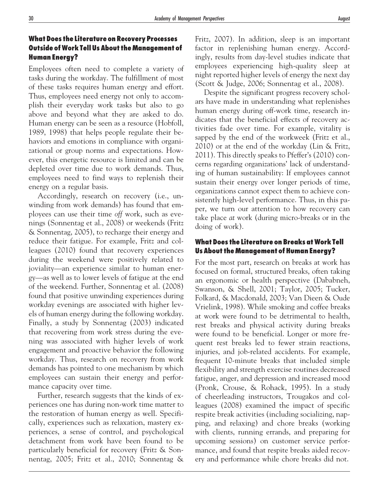# **What Does the Literature on Recovery Processes Outside of Work Tell Us About the Management of Human Energy?**

Employees often need to complete a variety of tasks during the workday. The fulfillment of most of these tasks requires human energy and effort. Thus, employees need energy not only to accomplish their everyday work tasks but also to go above and beyond what they are asked to do. Human energy can be seen as a resource (Hobfoll, 1989, 1998) that helps people regulate their behaviors and emotions in compliance with organizational or group norms and expectations. However, this energetic resource is limited and can be depleted over time due to work demands. Thus, employees need to find ways to replenish their energy on a regular basis.

Accordingly, research on recovery (i.e., unwinding from work demands) has found that employees can use their time *off* work, such as evenings (Sonnentag et al., 2008) or weekends (Fritz & Sonnentag, 2005), to recharge their energy and reduce their fatigue. For example, Fritz and colleagues (2010) found that recovery experiences during the weekend were positively related to joviality—an experience similar to human energy—as well as to lower levels of fatigue at the end of the weekend. Further, Sonnentag et al. (2008) found that positive unwinding experiences during workday evenings are associated with higher levels of human energy during the following workday. Finally, a study by Sonnentag (2003) indicated that recovering from work stress during the evening was associated with higher levels of work engagement and proactive behavior the following workday. Thus, research on recovery from work demands has pointed to one mechanism by which employees can sustain their energy and performance capacity over time.

Further, research suggests that the kinds of experiences one has during non-work time matter to the restoration of human energy as well. Specifically, experiences such as relaxation, mastery experiences, a sense of control, and psychological detachment from work have been found to be particularly beneficial for recovery (Fritz & Sonnentag, 2005; Fritz et al., 2010; Sonnentag & Fritz, 2007). In addition, sleep is an important factor in replenishing human energy. Accordingly, results from day-level studies indicate that employees experiencing high-quality sleep at night reported higher levels of energy the next day (Scott & Judge, 2006; Sonnentag et al., 2008).

Despite the significant progress recovery scholars have made in understanding what replenishes human energy during off-work time, research indicates that the beneficial effects of recovery activities fade over time. For example, vitality is sapped by the end of the workweek (Fritz et al., 2010) or at the end of the workday (Lin & Fritz, 2011). This directly speaks to Pfeffer's (2010) concerns regarding organizations' lack of understanding of human sustainability: If employees cannot sustain their energy over longer periods of time, organizations cannot expect them to achieve consistently high-level performance. Thus, in this paper, we turn our attention to how recovery can take place *at* work (during micro-breaks or in the doing of work).

## **What Does the Literature on Breaks at Work Tell Us About the Management of Human Energy?**

For the most part, research on breaks at work has focused on formal, structured breaks, often taking an ergonomic or health perspective (Dababneh, Swanson, & Shell, 2001; Taylor, 2005; Tucker, Folkard, & Macdonald, 2003; Van Dieen & Oude Vrielink, 1998). While smoking and coffee breaks at work were found to be detrimental to health, rest breaks and physical activity during breaks were found to be beneficial. Longer or more frequent rest breaks led to fewer strain reactions, injuries, and job-related accidents. For example, frequent 10-minute breaks that included simple flexibility and strength exercise routines decreased fatigue, anger, and depression and increased mood (Pronk, Crouse, & Rohack, 1995). In a study of cheerleading instructors, Trougakos and colleagues (2008) examined the impact of specific respite break activities (including socializing, napping, and relaxing) and chore breaks (working with clients, running errands, and preparing for upcoming sessions) on customer service performance, and found that respite breaks aided recovery and performance while chore breaks did not.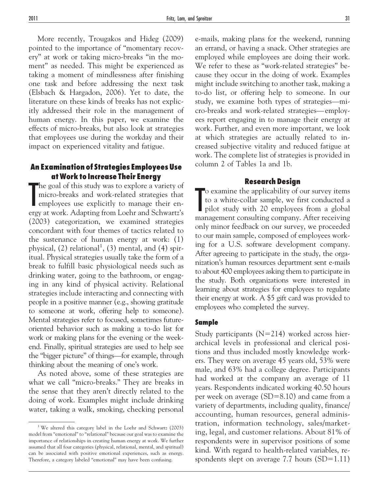More recently, Trougakos and Hideg (2009) pointed to the importance of "momentary recovery" at work or taking micro-breaks "in the moment" as needed. This might be experienced as taking a moment of mindlessness after finishing one task and before addressing the next task (Elsbach & Hargadon, 2006). Yet to date, the literature on these kinds of breaks has not explicitly addressed their role in the management of human energy. In this paper, we examine the effects of micro-breaks, but also look at strategies that employees use during the workday and their impact on experienced vitality and fatigue.

# **An Examination of Strategies Employees Use at Work to Increase Their Energy**

The goal of this study was to explore a variety of micro-breaks and work-related strategies that employees use explicitly to manage their energy at work. Adapting from Loehr and Schwartz's he goal of this study was to explore a variety of micro-breaks and work-related strategies that employees use explicitly to manage their en-(2003) categorization, we examined strategies concordant with four themes of tactics related to the sustenance of human energy at work: (1) physical,  $(2)$  relational<sup>1</sup>,  $(3)$  mental, and  $(4)$  spiritual. Physical strategies usually take the form of a break to fulfill basic physiological needs such as drinking water, going to the bathroom, or engaging in any kind of physical activity. Relational strategies include interacting and connecting with people in a positive manner (e.g., showing gratitude to someone at work, offering help to someone). Mental strategies refer to focused, sometimes futureoriented behavior such as making a to-do list for work or making plans for the evening or the weekend. Finally, spiritual strategies are used to help see the "bigger picture" of things—for example, through thinking about the meaning of one's work.

As noted above, some of these strategies are what we call "micro-breaks." They are breaks in the sense that they aren't directly related to the doing of work. Examples might include drinking water, taking a walk, smoking, checking personal e-mails, making plans for the weekend, running an errand, or having a snack. Other strategies are employed while employees are doing their work. We refer to these as "work-related strategies" because they occur in the doing of work. Examples might include switching to another task, making a to-do list, or offering help to someone. In our study, we examine both types of strategies—micro-breaks and work-related strategies— employees report engaging in to manage their energy at work. Further, and even more important, we look at which strategies are actually related to increased subjective vitality and reduced fatigue at work. The complete list of strategies is provided in column 2 of Tables 1a and 1b.

#### **Research Design**

The variance the applicability of our survey items<br>to a white-collar sample, we first conducted a<br>pilot study with 20 employees from a global<br>management consulting company. After receiving o examine the applicability of our survey items to a white-collar sample, we first conducted a pilot study with 20 employees from a global only minor feedback on our survey, we proceeded to our main sample, composed of employees working for a U.S. software development company. After agreeing to participate in the study, the organization's human resources department sent e-mails to about 400 employees asking them to participate in the study. Both organizations were interested in learning about strategies for employees to regulate their energy at work. A \$5 gift card was provided to employees who completed the survey.

#### **Sample**

Study participants  $(N=214)$  worked across hierarchical levels in professional and clerical positions and thus included mostly knowledge workers. They were on average 45 years old, 53% were male, and 63% had a college degree. Participants had worked at the company an average of 11 years. Respondents indicated working 40.50 hours per week on average  $(SD=8.10)$  and came from a variety of departments, including quality, finance/ accounting, human resources, general administration, information technology, sales/marketing, legal, and customer relations. About 81% of respondents were in supervisor positions of some kind. With regard to health-related variables, respondents slept on average 7.7 hours  $(SD=1.11)$ 

<sup>&</sup>lt;sup>1</sup> We altered this category label in the Loehr and Schwartz (2003) model from "emotional" to "relational" because our goal was to examine the importance of relationships in creating human energy at work. We further assumed that all four categories (physical, relational, mental, and spiritual) can be associated with positive emotional experiences, such as energy. Therefore, a category labeled "emotional" may have been confusing.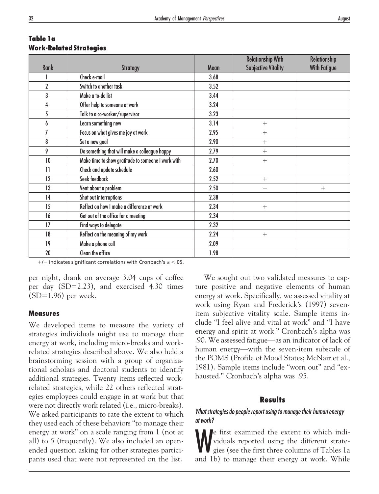| <b>Rank</b>     | <b>Strategy</b>                                    | <b>Mean</b> | <b>Relationship With</b><br><b>Subjective Vitality</b> | <b>Relationship</b><br><b>With Fatigue</b> |
|-----------------|----------------------------------------------------|-------------|--------------------------------------------------------|--------------------------------------------|
|                 | Check e-mail                                       | 3.68        |                                                        |                                            |
|                 |                                                    |             |                                                        |                                            |
| $\overline{2}$  | Switch to another task                             | 3.52        |                                                        |                                            |
| 3               | Make a to-do list                                  | 3.44        |                                                        |                                            |
| 4               | Offer help to someone at work                      | 3.24        |                                                        |                                            |
| 5               | Talk to a co-worker/supervisor                     | 3.23        |                                                        |                                            |
| 6               | Learn something new                                | 3.14        | $+$                                                    |                                            |
| 7               | Focus on what gives me joy at work                 | 2.95        | $^{+}$                                                 |                                            |
| 8               | Set a new goal                                     | 2.90        | $+$                                                    |                                            |
| 9               | Do something that will make a colleague happy      | 2.79        | $+$                                                    |                                            |
| 10              | Make time to show gratitude to someone I work with | 2.70        | $+$                                                    |                                            |
| $\overline{11}$ | Check and update schedule                          | 2.60        |                                                        |                                            |
| 12              | Seek feedback                                      | 2.52        | $+$                                                    |                                            |
| 13              | Vent about a problem                               | 2.50        |                                                        | $+$                                        |
| 14              | Shut out interruptions                             | 2.38        |                                                        |                                            |
| 15              | Reflect on how I make a difference at work         | 2.34        | $^{+}$                                                 |                                            |
| 16              | Get out of the office for a meeting                | 2.34        |                                                        |                                            |
| 17              | Find ways to delegate                              | 2.32        |                                                        |                                            |
| 18              | Reflect on the meaning of my work                  | 2.24        | $+$                                                    |                                            |
| 19              | Make a phone call                                  | 2.09        |                                                        |                                            |
| 20              | Clean the office                                   | 1.98        |                                                        |                                            |

## **Table 1a Work-Related Strategies**

 $+/-$  indicates significant correlations with Cronbach's  $\alpha$  <.05.

per night, drank on average 3.04 cups of coffee per day  $(SD=2.23)$ , and exercised 4.30 times  $(SD=1.96)$  per week.

## **Measures**

We developed items to measure the variety of strategies individuals might use to manage their energy at work, including micro-breaks and workrelated strategies described above. We also held a brainstorming session with a group of organizational scholars and doctoral students to identify additional strategies. Twenty items reflected workrelated strategies, while 22 others reflected strategies employees could engage in at work but that were not directly work related (i.e., micro-breaks). We asked participants to rate the extent to which they used each of these behaviors "to manage their energy at work" on a scale ranging from 1 (not at all) to 5 (frequently). We also included an openended question asking for other strategies participants used that were not represented on the list.

We sought out two validated measures to capture positive and negative elements of human energy at work. Specifically, we assessed vitality at work using Ryan and Frederick's (1997) sevenitem subjective vitality scale. Sample items include "I feel alive and vital at work" and "I have energy and spirit at work." Cronbach's alpha was .90. We assessed fatigue—as an indicator of lack of human energy—with the seven-item subscale of the POMS (Profile of Mood States; McNair et al., 1981). Sample items include "worn out" and "exhausted." Cronbach's alpha was .95.

## **Results**

## *What strategies do people report using to manage their human energy at work?*

We first examined the extent to which indi-<br>viduals reported using the different strate-<br>gies (see the first three columns of Tables 1a<br>and 1b) to manage their energy at work. While viduals reported using the different strategies (see the first three columns of Tables 1a and 1b) to manage their energy at work. While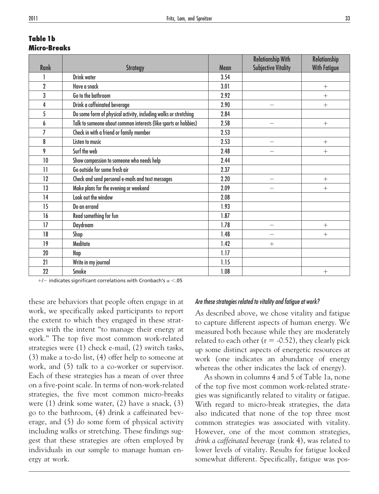| Table 1b            |  |
|---------------------|--|
| <b>Micro-Breaks</b> |  |

|                 |                                                                  |      | <b>Relationship With</b>   | <b>Relationship</b> |
|-----------------|------------------------------------------------------------------|------|----------------------------|---------------------|
| <b>Rank</b>     | <b>Strategy</b>                                                  | Mean | <b>Subjective Vitality</b> | <b>With Fatigue</b> |
|                 | <b>Drink water</b>                                               | 3.54 |                            |                     |
| $\overline{2}$  | Have a snack                                                     | 3.01 |                            | $+$                 |
| 3               | Go to the bathroom                                               | 2.92 |                            | $^{+}$              |
| 4               | Drink a caffeinated beverage                                     | 2.90 |                            | $+$                 |
| 5               | Do some form of physical activity, including walks or stretching | 2.84 |                            |                     |
| 6               | Talk to someone about common interests (like sports or hobbies)  | 2.58 |                            | $+$                 |
| 7               | Check in with a friend or family member                          | 2.53 |                            |                     |
| 8               | Listen to music                                                  | 2.53 |                            | $+$                 |
| 9               | Surf the web                                                     | 2.48 |                            | $+$                 |
| 10              | Show compassion to someone who needs help                        | 2.44 |                            |                     |
| $\overline{11}$ | Go outside for some fresh air                                    | 2.37 |                            |                     |
| 12              | Check and send personal e-mails and text messages                | 2.20 |                            | $+$                 |
| 13              | Make plans for the evening or weekend                            | 2.09 |                            | $+$                 |
| 14              | Look out the window                                              | 2.08 |                            |                     |
| 15              | Do an errand                                                     | 1.93 |                            |                     |
| 16              | Read something for fun                                           | 1.87 |                            |                     |
| 17              | Daydream                                                         | 1.78 |                            | $+$                 |
| 18              | Shop                                                             | 1.48 |                            | $+$                 |
| 19              | Meditate                                                         | 1.42 | $^{+}$                     |                     |
| 20              | Nap                                                              | 1.17 |                            |                     |
| 21              | Write in my journal                                              | 1.15 |                            |                     |
| 22              | Smoke                                                            | 1.08 |                            | $^{+}$              |

 $+$ / $-$  indicates significant correlations with Cronbach's  $\alpha$  <.05

these are behaviors that people often engage in at work, we specifically asked participants to report the extent to which they engaged in these strategies with the intent "to manage their energy at work." The top five most common work-related strategies were (1) check e-mail, (2) switch tasks, (3) make a to-do list, (4) offer help to someone at work, and (5) talk to a co-worker or supervisor. Each of these strategies has a mean of over three on a five-point scale. In terms of non-work-related strategies, the five most common micro-breaks were (1) drink some water, (2) have a snack, (3) go to the bathroom, (4) drink a caffeinated beverage, and (5) do some form of physical activity including walks or stretching. These findings suggest that these strategies are often employed by individuals in our sample to manage human energy at work.

#### *Are these strategies related to vitality and fatigue at work?*

As described above, we chose vitality and fatigue to capture different aspects of human energy. We measured both because while they are moderately related to each other ( $r = -0.52$ ), they clearly pick up some distinct aspects of energetic resources at work (one indicates an abundance of energy whereas the other indicates the lack of energy).

As shown in columns 4 and 5 of Table 1a, none of the top five most common work-related strategies was significantly related to vitality or fatigue. With regard to micro-break strategies, the data also indicated that none of the top three most common strategies was associated with vitality. However, one of the most common strategies, *drink a caffeinated beverage* (rank 4), was related to lower levels of vitality. Results for fatigue looked somewhat different. Specifically, fatigue was pos-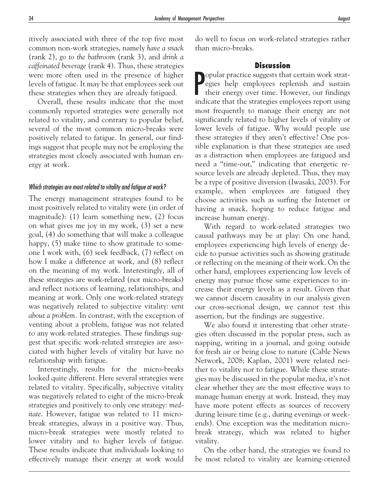itively associated with three of the top five most common non-work strategies, namely *have a snack* (rank 2), *go to the bathroom* (rank 3), and *drink a caffeinated beverage* (rank 4). Thus, these strategies were more often used in the presence of higher levels of fatigue. It may be that employees seek out these strategies when they are already fatigued.

Overall, these results indicate that the most commonly reported strategies were generally not related to vitality, and contrary to popular belief, several of the most common micro-breaks were positively related to fatigue. In general, our findings suggest that people may not be employing the strategies most closely associated with human energy at work.

#### *Which strategies are most related to vitality and fatigue at work?*

The energy management strategies found to be most positively related to vitality were (in order of magnitude): (1) learn something new, (2) focus on what gives me joy in my work, (3) set a new goal, (4) do something that will make a colleague happy,  $(5)$  make time to show gratitude to someone I work with, (6) seek feedback, (7) reflect on how I make a difference at work, and (8) reflect on the meaning of my work. Interestingly, all of these strategies are work-related (not micro-breaks) and reflect notions of learning, relationships, and meaning at work. Only one work-related strategy was negatively related to subjective vitality: *vent about a problem.* In contrast, with the exception of venting about a problem, fatigue was not related to any work-related strategies. These findings suggest that specific work-related strategies are associated with higher levels of vitality but have no relationship with fatigue.

Interestingly, results for the micro-breaks looked quite different. Here several strategies were related to vitality. Specifically, subjective vitality was negatively related to eight of the micro-break strategies and positively to only one strategy: *meditate*. However, fatigue was related to 11 microbreak strategies, always in a positive way. Thus, micro-break strategies were mostly related to lower vitality and to higher levels of fatigue. These results indicate that individuals looking to effectively manage their energy at work would do well to focus on work-related strategies rather than micro-breaks.

#### **Discussion**

Popular practice suggests that certain work strat-<br>egies help employees replenish and sustain<br>their energy over time. However, our findings<br>indicate that the strategies employees report using egies help employees replenish and sustain their energy over time. However, our findings indicate that the strategies employees report using most frequently to manage their energy are not significantly related to higher levels of vitality or lower levels of fatigue. Why would people use these strategies if they aren't effective? One possible explanation is that these strategies are used as a distraction when employees are fatigued and need a "time-out," indicating that energetic resource levels are already depleted. Thus, they may be a type of positive diversion (Iwasaki, 2003). For example, when employees are fatigued they choose activities such as surfing the Internet or having a snack, hoping to reduce fatigue and increase human energy.

With regard to work-related strategies two causal pathways may be at play: On one hand, employees experiencing high levels of energy decide to pursue activities such as showing gratitude or reflecting on the meaning of their work. On the other hand, employees experiencing low levels of energy may pursue those same experiences to increase their energy levels as a result. Given that we cannot discern causality in our analysis given our cross-sectional design, we cannot test this assertion, but the findings are suggestive.

We also found it interesting that other strategies often discussed in the popular press, such as napping, writing in a journal, and going outside for fresh air or being close to nature (Cable News Network, 2008; Kaplan, 2001) were related neither to vitality nor to fatigue. While these strategies may be discussed in the popular media, it's not clear whether they are the most effective ways to manage human energy at work. Instead, they may have more potent effects as sources of recovery during leisure time (e.g., during evenings or weekends). One exception was the meditation microbreak strategy, which was related to higher vitality.

On the other hand, the strategies we found to be most related to vitality are learning-oriented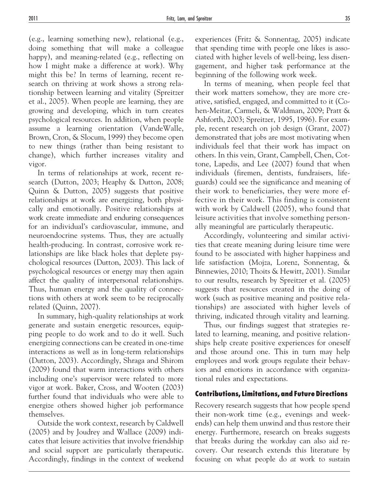(e.g., learning something new), relational (e.g., doing something that will make a colleague happy), and meaning-related (e.g., reflecting on how I might make a difference at work). Why might this be? In terms of learning, recent research on thriving at work shows a strong relationship between learning and vitality (Spreitzer et al., 2005). When people are learning, they are growing and developing, which in turn creates psychological resources. In addition, when people assume a learning orientation (VandeWalle, Brown, Cron, & Slocum, 1999) they become open to new things (rather than being resistant to change), which further increases vitality and vigor.

In terms of relationships at work, recent research (Dutton, 2003; Heaphy & Dutton, 2008; Quinn & Dutton, 2005) suggests that positive relationships at work are energizing, both physically and emotionally. Positive relationships at work create immediate and enduring consequences for an individual's cardiovascular, immune, and neuroendocrine systems. Thus, they are actually health-producing. In contrast, corrosive work relationships are like black holes that deplete psychological resources (Dutton, 2003). This lack of psychological resources or energy may then again affect the quality of interpersonal relationships. Thus, human energy and the quality of connections with others at work seem to be reciprocally related (Quinn, 2007).

In summary, high-quality relationships at work generate and sustain energetic resources, equipping people to do work and to do it well. Such energizing connections can be created in one-time interactions as well as in long-term relationships (Dutton, 2003). Accordingly, Shraga and Shirom (2009) found that warm interactions with others including one's supervisor were related to more vigor at work. Baker, Cross, and Wooten (2003) further found that individuals who were able to energize others showed higher job performance themselves.

Outside the work context, research by Caldwell (2005) and by Joudrey and Wallace (2009) indicates that leisure activities that involve friendship and social support are particularly therapeutic. Accordingly, findings in the context of weekend

experiences (Fritz & Sonnentag, 2005) indicate that spending time with people one likes is associated with higher levels of well-being, less disengagement, and higher task performance at the beginning of the following work week.

In terms of meaning, when people feel that their work matters somehow, they are more creative, satisfied, engaged, and committed to it (Cohen-Meitar, Carmeli, & Waldman, 2009; Pratt & Ashforth, 2003; Spreitzer, 1995, 1996). For example, recent research on job design (Grant, 2007) demonstrated that jobs are most motivating when individuals feel that their work has impact on others. In this vein, Grant, Campbell, Chen, Cottone, Lapedis, and Lee (2007) found that when individuals (firemen, dentists, fundraisers, lifeguards) could see the significance and meaning of their work to beneficiaries, they were more effective in their work. This finding is consistent with work by Caldwell (2005), who found that leisure activities that involve something personally meaningful are particularly therapeutic.

Accordingly, volunteering and similar activities that create meaning during leisure time were found to be associated with higher happiness and life satisfaction (Mojza, Lorenz, Sonnentag, & Binnewies, 2010; Thoits & Hewitt, 2001). Similar to our results, research by Spreitzer et al. (2005) suggests that resources created in the doing of work (such as positive meaning and positive relationships) are associated with higher levels of thriving, indicated through vitality and learning.

Thus, our findings suggest that strategies related to learning, meaning, and positive relationships help create positive experiences for oneself and those around one. This in turn may help employees and work groups regulate their behaviors and emotions in accordance with organizational rules and expectations.

## **Contributions, Limitations, and Future Directions**

Recovery research suggests that how people spend their non-work time (e.g., evenings and weekends) can help them unwind and thus restore their energy. Furthermore, research on breaks suggests that breaks during the workday can also aid recovery. Our research extends this literature by focusing on what people do *at* work to sustain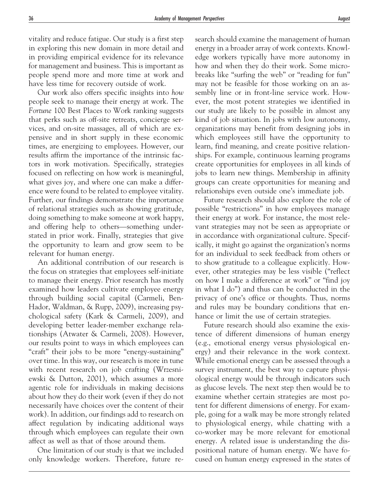vitality and reduce fatigue. Our study is a first step in exploring this new domain in more detail and in providing empirical evidence for its relevance for management and business. This is important as people spend more and more time at work and have less time for recovery outside of work.

Our work also offers specific insights into *how* people seek to manage their energy at work. The *Fortune* 100 Best Places to Work ranking suggests that perks such as off-site retreats, concierge services, and on-site massages, all of which are expensive and in short supply in these economic times, are energizing to employees. However, our results affirm the importance of the intrinsic factors in work motivation. Specifically, strategies focused on reflecting on how work is meaningful, what gives joy, and where one can make a difference were found to be related to employee vitality. Further, our findings demonstrate the importance of relational strategies such as showing gratitude, doing something to make someone at work happy, and offering help to others—something understated in prior work. Finally, strategies that give the opportunity to learn and grow seem to be relevant for human energy.

An additional contribution of our research is the focus on strategies that employees self-initiate to manage their energy. Prior research has mostly examined how leaders cultivate employee energy through building social capital (Carmeli, Ben-Hador, Waldman, & Rupp, 2009), increasing psychological safety (Kark & Carmeli, 2009), and developing better leader-member exchange relationships (Atwater & Carmeli, 2008). However, our results point to ways in which employees can "craft" their jobs to be more "energy-sustaining" over time. In this way, our research is more in tune with recent research on job crafting (Wrzesniewski & Dutton, 2001), which assumes a more agentic role for individuals in making decisions about how they do their work (even if they do not necessarily have choices over the content of their work). In addition, our findings add to research on affect regulation by indicating additional ways through which employees can regulate their own affect as well as that of those around them.

One limitation of our study is that we included only knowledge workers. Therefore, future research should examine the management of human energy in a broader array of work contexts. Knowledge workers typically have more autonomy in how and when they do their work. Some microbreaks like "surfing the web" or "reading for fun" may not be feasible for those working on an assembly line or in front-line service work. However, the most potent strategies we identified in our study are likely to be possible in almost any kind of job situation. In jobs with low autonomy, organizations may benefit from designing jobs in which employees still have the opportunity to learn, find meaning, and create positive relationships. For example, continuous learning programs create opportunities for employees in all kinds of jobs to learn new things. Membership in affinity groups can create opportunities for meaning and relationships even outside one's immediate job.

Future research should also explore the role of possible "restrictions" in how employees manage their energy at work. For instance, the most relevant strategies may not be seen as appropriate or in accordance with organizational culture. Specifically, it might go against the organization's norms for an individual to seek feedback from others or to show gratitude to a colleague explicitly. However, other strategies may be less visible ("reflect on how I make a difference at work" or "find joy in what I do") and thus can be conducted in the privacy of one's office or thoughts. Thus, norms and rules may be boundary conditions that enhance or limit the use of certain strategies.

Future research should also examine the existence of different dimensions of human energy (e.g., emotional energy versus physiological energy) and their relevance in the work context. While emotional energy can be assessed through a survey instrument, the best way to capture physiological energy would be through indicators such as glucose levels. The next step then would be to examine whether certain strategies are most potent for different dimensions of energy. For example, going for a walk may be more strongly related to physiological energy, while chatting with a co-worker may be more relevant for emotional energy. A related issue is understanding the dispositional nature of human energy. We have focused on human energy expressed in the states of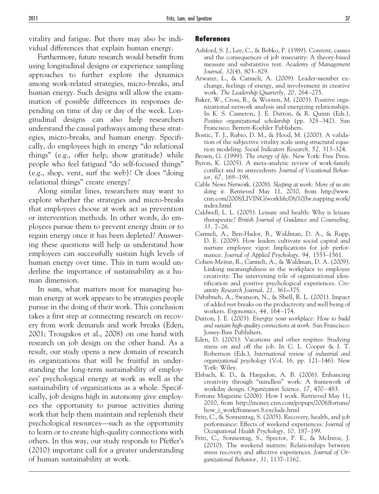vitality and fatigue. But there may also be individual differences that explain human energy.

Furthermore, future research would benefit from using longitudinal designs or experience sampling approaches to further explore the dynamics among work-related strategies, micro-breaks, and human energy. Such designs will allow the examination of possible differences in responses depending on time of day or day of the week. Longitudinal designs can also help researchers understand the causal pathways among these strategies, micro-breaks, and human energy. Specifically, do employees high in energy "do relational things" (e.g., offer help, show gratitude) while people who feel fatigued "do self-focused things" (e.g., shop, vent, surf the web)? Or does "doing relational things" create energy?

Along similar lines, researchers may want to explore whether the strategies and micro-breaks that employees choose at work act as prevention or intervention methods. In other words, do employees pursue them to prevent energy drain or to regain energy once it has been depleted? Answering these questions will help us understand how employees can successfully sustain high levels of human energy over time. This in turn would underline the importance of sustainability as a human dimension.

In sum, what matters most for managing human energy at work appears to be strategies people pursue in the doing of their work. This conclusion takes a first step at connecting research on recovery from work demands and work breaks (Eden, 2001; Trougakos et al., 2008) on one hand with research on job design on the other hand. As a result, our study opens a new domain of research in organizations that will be fruitful in understanding the long-term sustainability of employees' psychological energy at work as well as the sustainability of organizations as a whole. Specifically, job designs high in autonomy give employees the opportunity to pursue activities during work that help them maintain and replenish their psychological resources—such as the opportunity to learn or to create high-quality connections with others. In this way, our study responds to Pfeffer's (2010) important call for a greater understanding of human sustainability at work.

#### **References**

- Ashford, S. J., Lee, C., & Bobko, P. (1989). Content, causes and the consequences of job insecurity: A theory-based measure and substantive test. *Academy of Management Journal, 32*(4), 803– 829.
- Atwater, L., & Carmeli, A. (2009). Leader-member exchange, feelings of energy, and involvement in creative work. *The Leadership Quarterly, 20,* 264 –275.
- Baker, W., Cross, R., & Wooten, M. (2003). Positive organizational network analysis and energizing relationships. In K. S. Cameron, J. E. Dutton, & R. Quinn (Eds.), *Positive organizational scholarship* (pp. 328 –342). San Francisco: Berrett-Koehler Publishers.
- Bostic, T. J., Rubio, D. M., & Hood, M. (2000). A validation of the subjective vitality scale using structural equation modeling. *Social Indicators Research, 52,* 313–324.
- Brown, G. (1999). *The energy of life.* New York: Free Press.
- Byron, K. (2005). A meta-analytic review of work-family conflict and its antecedents. *Journal of Vocational Behavior, 67,* 169 –198.
- Cable News Network. (2008). *Sleeping at work: More of us are doing it.* Retrieved May 11, 2010, from http://www. cnn.com/2008/LIVING/worklife/06/10/lw.napping.work/ index.html
- Caldwell, L. L. (2005). Leisure and health: Why is leisure therapeutic? *British Journal of Guidance and Counseling, 33,* 7–26.
- Carmeli, A., Ben-Hador, B., Waldman, D. A., & Rupp, D. E. (2009). How leaders cultivate social capital and nurture employee vigor: Implications for job performance. *Journal of Applied Psychology, 94,* 1553–1561.
- Cohen-Meitar, R., Carmeli, A., & Waldman, D. A. (2009). Linking meaningfulness in the workplace to employee creativity: The intervening role of organizational identification and positive psychological experiences. *Creativity Research Journal, 21,* 361**–**375.
- Dababneh, A., Swanson, N., & Shell, R. L. (2001). Impact of added rest breaks on the productivity and well being of workers. *Ergonomics, 44,* 164 –174.
- Dutton, J. E. (2003). *Energize your workplace: How to build and sustain high-quality connections at work.* San Francisco: Jossey-Bass Publishers.
- Eden, D. (2001). Vacations and other respites: Studying stress on and off the job. In C. L. Cooper & I. T. Robertson (Eds.), *International review of industrial and organizational psychology* (Vol. 16, pp. 121–146). New York: Wiley.
- Elsbach, K. D., & Hargadon, A. B. (2006). Enhancing creativity through "mindless" work: A framework of workday design. *Organization Science, 17,* 470 – 483.
- Fortune Magazine (2006). How I work. Retrieved May 11, 2010, from http://money.cnn.com/popups/2006/fortune/ how i work/frameset.8.exclude.html
- Fritz, C., & Sonnentag, S. (2005). Recovery, health, and job performance: Effects of weekend experiences. *Journal of Occupational Health Psychology, 10,* 187–199.
- Fritz, C., Sonnentag, S., Spector, P. E., & McInroe, J. (2010). The weekend matters: Relationships between stress recovery and affective experiences. *Journal of Organizational Behavior, 31*, 1137–1162.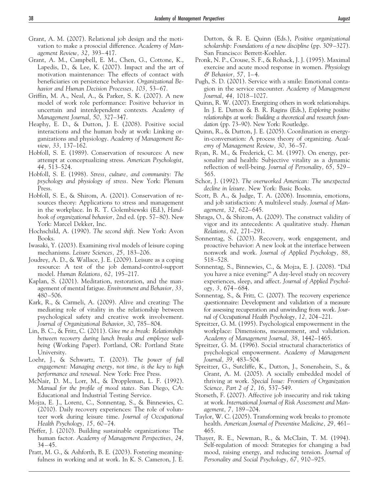- Grant, A. M. (2007). Relational job design and the motivation to make a prosocial difference. *Academy of Management Review, 32,* 393– 417.
- Grant, A. M., Campbell, E. M., Chen, G., Cottone, K., Lapedis, D., & Lee, K. (2007). Impact and the art of motivation maintenance: The effects of contact with beneficiaries on persistence behavior. *Organizational Behavior and Human Decision Processes, 103,* 53– 67.
- Griffin, M. A., Neal, A., & Parker, S. K. (2007). A new model of work role performance: Positive behavior in uncertain and interdependent contexts. *Academy of Management Journal, 50,* 327–347.
- Heaphy, E. D., & Dutton, J. E. (2008). Positive social interactions and the human body at work: Linking organizations and physiology. *Academy of Management Review, 33,* 137–162.
- Hobfoll, S. E. (1989). Conservation of resources: A new attempt at conceptualizing stress. *American Psychologist, 44,* 513–524.
- Hobfoll, S. E. (1998). *Stress, culture, and community: The psychology and physiology of stress.* New York: Plenum Press.
- Hobfoll, S. E., & Shirom, A. (2001). Conservation of resources theory: Applications to stress and management in the workplace. In R. T. Golembiewski (Ed.), *Handbook of organizational behavior,* 2nd ed. (pp. 57– 80). New York: Marcel Dekker, Inc.
- Hochschild, A. (1990). *The second shift.* New York: Avon Books.
- Iwasaki, Y. (2003). Examining rival models of leisure coping mechanisms. *Leisure Sciences, 25,* 183–206.
- Joudrey, A. D., & Wallace, J. E. (2009). Leisure as a coping resource: A test of the job demand-control-support model. *Human Relations, 62,* 195–217.
- Kaplan, S. (2001). Meditation, restoration, and the management of mental fatigue. *Environment and Behavior, 33,* 480 –506.
- Kark, R., & Carmeli, A. (2009). Alive and creating: The mediating role of vitality in the relationship between psychological safety and creative work involvement. *Journal of Organizational Behavior*, *30*, 785– 804.
- Lin, B. C., & Fritz, C. (2011). *Give me a break: Relationships between recovery during lunch breaks and employee wellbeing* (Working Paper). Portland, OR: Portland State University.
- Loehr, J., & Schwartz, T. (2003). *The power of full engagement: Managing energy, not time, is the key to high performance and renewal.* New York: Free Press.
- McNair, D. M., Lorr, M., & Droppleman, L. F. (1992). *Manual for the profile of mood states.* San Diego, CA: Educational and Industrial Testing Service.
- Mojza, E. J., Lorenz, C., Sonnentag, S., & Binnewies, C. (2010). Daily recovery experiences: The role of volunteer work during leisure time. *Journal of Occupational Health Psychology, 15,* 60 –74.
- Pfeffer, J. (2010). Building sustainable organizations: The human factor. *Academy of Management Perspectives, 24,* 34 – 45.
- Pratt, M. G., & Ashforth, B. E. (2003). Fostering meaningfulness in working and at work. In K. S. Cameron, J. E.

Dutton, & R. E. Quinn (Eds.), *Positive organizational scholarship: Foundations of a new discipline* (pp. 309 –327). San Francisco: Berrett-Koehler.

- Pronk, N. P., Crouse, S. F., & Rohack, J. J. (1995). Maximal exercise and acute mood response in women. *Physiology & Behavior, 57,* 1– 4.
- Pugh, S. D. (2001). Service with a smile: Emotional contagion in the service encounter. *Academy of Management Journal, 44,* 1018 –1027.
- Quinn, R. W. (2007). Energizing others in work relationships. In J. E. Dutton & B. R. Ragins (Eds.), *Exploring positive relationships at work: Building a theoretical and research foundation* (pp. 73–90). New York: Routledge.
- Quinn, R., & Dutton, J. E. (2005). Coordination as energyin-conversation: A process theory of organizing. *Academy of Management Review, 30,* 36 –57.
- Ryan, R. M., & Frederick, C. M. (1997). On energy, personality and health: Subjective vitality as a dynamic reflection of well-being. *Journal of Personality, 65,* 529 – 565.
- Schor, J. (1992). *The overworked American: The unexpected decline in leisure.* New York: Basic Books.
- Scott, B. A., & Judge, T. A. (2006). Insomnia, emotions, and job satisfaction: A multilevel study. *Journal of Management, 32,* 622– 645.
- Shraga, O., & Shirom, A. (2009). The construct validity of vigor and its antecedents: A qualitative study. *Human Relations, 62,* 271–291.
- Sonnentag, S. (2003). Recovery, work engagement, and proactive behavior: A new look at the interface between nonwork and work. *Journal of Applied Psychology, 88,* 518 –528.
- Sonnentag, S., Binnewies, C., & Mojza, E. J. (2008). "Did you have a nice evening?" A day-level study on recovery experiences, sleep, and affect. *Journal of Applied Psychology, 3,* 674 – 684.
- Sonnentag, S., & Fritz, C. (2007). The recovery experience questionnaire: Development and validation of a measure for assessing recuperation and unwinding from work. *Journal of Occupational Health Psychology, 12,* 204 –221.
- Spreitzer, G. M. (1995). Psychological empowerment in the workplace: Dimensions, measurement, and validation. *Academy of Management Journal, 38,* 1442–1465.
- Spreitzer, G. M. (1996). Social structural characteristics of psychological empowerment. *Academy of Management Journal, 39,* 483–504.
- Spreitzer, G., Sutcliffe, K., Dutton, J., Sonenshein, S., & Grant, A. M. (2005). A socially embedded model of thriving at work. *Special Issue: Frontiers of Organization Science, Part 2 of 2, 16,* 537–549.
- Storseth, F. (2007). Affective job insecurity and risk taking at work. *International Journal of Risk Assessment and Management, 7,* 189 –204.
- Taylor, W. C. (2005). Transforming work breaks to promote health. *American Journal of Preventive Medicine, 29,* 461– 465.
- Thayer, R. E., Newman, R., & McClain, T. M. (1994). Self-regulation of mood: Strategies for changing a bad mood, raising energy, and reducing tension. *Journal of Personality and Social Psychology, 67,* 910 –925.